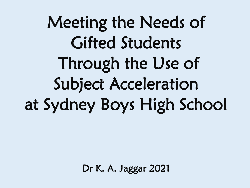Meeting the Needs of Gifted Students Through the Use of Subject Acceleration at Sydney Boys High School

Dr K. A. Jaggar 2021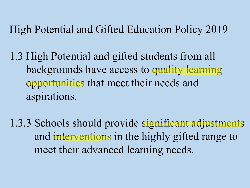High Potential and Gifted Education Policy 2019

1.3 High Potential and gifted students from all backgrounds have access to quality learning opportunities that meet their needs and aspirations.

1.3.3 Schools should provide significant adjustments and interventions in the highly gifted range to meet their advanced learning needs.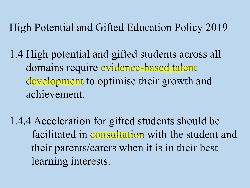High Potential and Gifted Education Policy 2019

1.4 High potential and gifted students across all domains require evidence-based talent development to optimise their growth and achievement.

1.4.4 Acceleration for gifted students should be facilitated in consultation with the student and their parents/carers when it is in their best learning interests.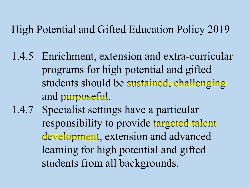## High Potential and Gifted Education Policy 2019

- 1.4.5 Enrichment, extension and extra-curricular programs for high potential and gifted students should be sustained, challenging and purposeful.
- 1.4.7 Specialist settings have a particular responsibility to provide targeted talent development, extension and advanced learning for high potential and gifted students from all backgrounds.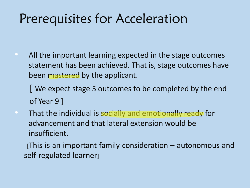# Prerequisites for Acceleration

• All the important learning expected in the stage outcomes statement has been achieved. That is, stage outcomes have been mastered by the applicant.

[ We expect stage 5 outcomes to be completed by the end of Year 9 ]

• That the individual is socially and emotionally ready for advancement and that lateral extension would be insufficient.

[This is an important family consideration – autonomous and self-regulated learner]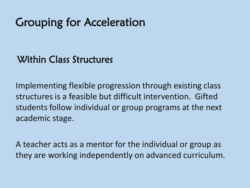# Grouping for Acceleration

### Within Class Structures

Implementing flexible progression through existing class structures is a feasible but difficult intervention. Gifted students follow individual or group programs at the next academic stage.

A teacher acts as a mentor for the individual or group as they are working independently on advanced curriculum.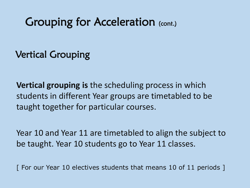## Grouping for Acceleration (cont.)

Vertical Grouping

**Vertical grouping is** the scheduling process in which students in different Year groups are timetabled to be taught together for particular courses.

Year 10 and Year 11 are timetabled to align the subject to be taught. Year 10 students go to Year 11 classes.

[ For our Year 10 electives students that means 10 of 11 periods ]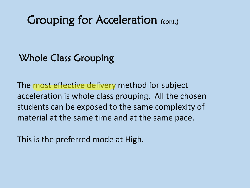## Grouping for Acceleration (cont.)

## Whole Class Grouping

The most effective delivery method for subject acceleration is whole class grouping. All the chosen students can be exposed to the same complexity of material at the same time and at the same pace.

This is the preferred mode at High.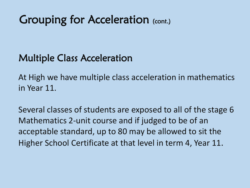# Grouping for Acceleration (cont.)

## Multiple Class Acceleration

At High we have multiple class acceleration in mathematics in Year 11.

Several classes of students are exposed to all of the stage 6 Mathematics 2-unit course and if judged to be of an acceptable standard, up to 80 may be allowed to sit the Higher School Certificate at that level in term 4, Year 11.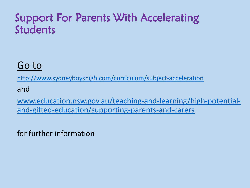## Support For Parents With Accelerating Students

## [Go to](http://www.sydneyboyshigh.com/curriculum/subject-acceleration)

<http://www.sydneyboyshigh.com/curriculum/subject-acceleration>

and

[www.education.nsw.gov.au/teaching-and-learning/high-potential](http://www.education.nsw.gov.au/teaching-and-learning/high-potential-and-gifted-education/supporting-parents-and-carers)and-gifted-education/supporting-parents-and-carers

for further information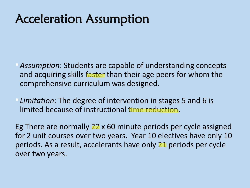# Acceleration Assumption

- *Assumption*: Students are capable of understanding concepts and acquiring skills faster than their age peers for whom the comprehensive curriculum was designed.
- *Limitation*: The degree of intervention in stages 5 and 6 is limited because of instructional time reduction.

Eg There are normally 22 x 60 minute periods per cycle assigned for 2 unit courses over two years. Year 10 electives have only 10 periods. As a result, accelerants have only 21 periods per cycle over two years.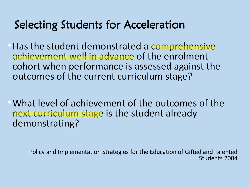## Selecting Students for Acceleration

•Has the student demonstrated a comprehensive achievement well in advance of the enrolment cohort when performance is assessed against the outcomes of the current curriculum stage?

•What level of achievement of the outcomes of the next curriculum stage is the student already demonstrating?

Policy and Implementation Strategies for the Education of Gifted and Talented Students 2004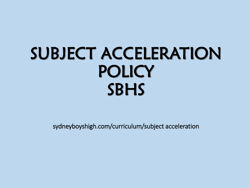# SUBJECT ACCELERATION **POLICY** SBHS

sydneyboyshigh.com/curriculum/subject acceleration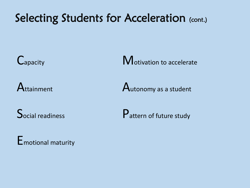# Selecting Students for Acceleration (cont.)

**E**motional maturity

C<sub>apacity</sub> C<sub>apacity</sub> C<sub>apacity</sub> C<sub>apacity</sub> C<sub>apac</sub>ity C<sub>apac</sub>ity C<sub>apac</sub>ity C<sub>apac</sub>ity C<sub>apac</sub>ity C<sub>apac</sub>ity C<sub>apac</sub>ity

 $A$ ttainment  $A$ utonomy as a student

 $\mathsf{S}_{\text{ocial readings}}$   $\mathsf{P}_{\text{atten of future study}}$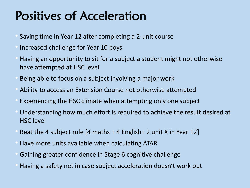# Positives of Acceleration

- Saving time in Year 12 after completing a 2-unit course
- Increased challenge for Year 10 boys
- Having an opportunity to sit for a subject a student might not otherwise have attempted at HSC level
- Being able to focus on a subject involving a major work
- Ability to access an Extension Course not otherwise attempted
- Experiencing the HSC climate when attempting only one subject
- Understanding how much effort is required to achieve the result desired at HSC level
- Beat the 4 subject rule  $[4$  maths  $+$  4 English $+$  2 unit X in Year 12]
- Have more units available when calculating ATAR
- Gaining greater confidence in Stage 6 cognitive challenge
- Having a safety net in case subject acceleration doesn't work out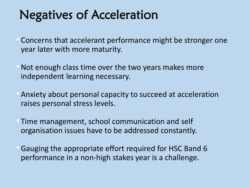# Negatives of Acceleration

- Concerns that accelerant performance might be stronger one year later with more maturity.
- Not enough class time over the two years makes more independent learning necessary.
- Anxiety about personal capacity to succeed at acceleration raises personal stress levels.
- Time management, school communication and self organisation issues have to be addressed constantly.
- •Gauging the appropriate effort required for HSC Band 6 performance in a non-high stakes year is a challenge.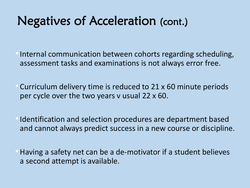# Negatives of Acceleration (cont.)

- Internal communication between cohorts regarding scheduling, assessment tasks and examinations is not always error free.
- Curriculum delivery time is reduced to 21 x 60 minute periods per cycle over the two years v usual 22 x 60.
- •Identification and selection procedures are department based and cannot always predict success in a new course or discipline.
- •Having a safety net can be a de-motivator if a student believes a second attempt is available.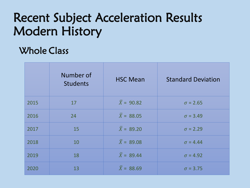# Recent Subject Acceleration Results Modern History

## Whole Class

|      | Number of<br><b>Students</b> | <b>HSC Mean</b>        | <b>Standard Deviation</b> |
|------|------------------------------|------------------------|---------------------------|
| 2015 | 17                           | $\bar{X} = 90.82$      | $\sigma = 2.65$           |
| 2016 | 24                           | $\overline{X}$ = 88.05 | $\sigma = 3.49$           |
| 2017 | 15                           | $\bar{X} = 89.20$      | $\sigma = 2.29$           |
| 2018 | 10                           | $\bar{X} = 89.08$      | $\sigma = 4.44$           |
| 2019 | 18                           | $\bar{X} = 89.44$      | $\sigma = 4.92$           |
| 2020 | 13                           | $\bar{X} = 88.69$      | $\sigma = 3.75$           |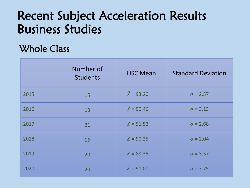# Recent Subject Acceleration Results Business Studies

### Whole Class

|      | Number of<br><b>Students</b> | <b>HSC Mean</b>        | <b>Standard Deviation</b> |
|------|------------------------------|------------------------|---------------------------|
| 2015 | 15                           | $\bar{X}$ = 93.20      | $\sigma = 2.57$           |
| 2016 | 13                           | $\bar{X}$ = 90.46      | $\sigma = 3.13$           |
| 2017 | 21                           | $\bar{X}$ = 91.52      | $\sigma = 2.68$           |
| 2018 | 16                           | $\bar{X}$ = 90.25      | $\sigma = 2.04$           |
| 2019 | 20                           | $\overline{X}$ = 89.35 | $\sigma = 3.57$           |
| 2020 | 20                           | $\bar{X} = 91.00$      | $\sigma = 3.75$           |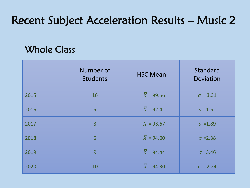# Recent Subject Acceleration Results – Music 2

### Whole Class

|      | Number of<br><b>Students</b> | <b>HSC Mean</b>        | Standard<br><b>Deviation</b> |
|------|------------------------------|------------------------|------------------------------|
| 2015 | 16                           | $\bar{X}$ = 89.56      | $\sigma = 3.31$              |
| 2016 | 5                            | $\overline{X}$ = 92.4  | $\sigma = 1.52$              |
| 2017 | $\overline{3}$               | $\bar{X}$ = 93.67      | $\sigma = 1.89$              |
| 2018 | 5                            | $\bar{X}$ = 94.00      | $\sigma$ =2.38               |
| 2019 | 9                            | $\overline{X}$ = 94.44 | $\sigma = 3.46$              |
| 2020 | 10                           | $\overline{X}$ = 94.30 | $\sigma = 2.24$              |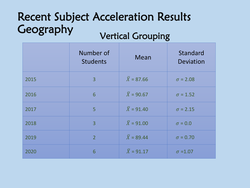### Recent Subject Acceleration Results **Geography** Vertical Grouping

|      | Number of<br><b>Students</b> | Mean                   | Standard<br>Deviation |
|------|------------------------------|------------------------|-----------------------|
| 2015 | $\overline{3}$               | $\bar{X} = 87.66$      | $\sigma = 2.08$       |
| 2016 | 6                            | $\bar{X}$ = 90.67      | $\sigma = 1.52$       |
| 2017 | 5                            | $\overline{X}$ = 91.40 | $\sigma = 2.15$       |
| 2018 | 3                            | $\bar{X} = 91.00$      | $\sigma = 0.0$        |
| 2019 | 2 <sup>1</sup>               | $\overline{X}$ = 89.44 | $\sigma = 0.70$       |
| 2020 | 6                            | $\bar{X} = 91.17$      | $\sigma = 1.07$       |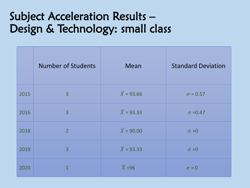## Subject Acceleration Results – Design & Technology: small class

|      | <b>Number of Students</b> | Mean                   | <b>Standard Deviation</b> |
|------|---------------------------|------------------------|---------------------------|
| 2015 | $\overline{3}$            | $\bar{X} = 93.66$      | $\sigma = 0.57$           |
| 2016 | 3                         | $\bar{X}$ = 93.33      | $\sigma = 0.47$           |
| 2018 | $\overline{2}$            | $\bar{X}$ = 90.00      | $\sigma = 0$              |
| 2019 | $\overline{3}$            | $\overline{X}$ = 93.33 | $\sigma = 0$              |
| 2020 | $\overline{1}$            | $\overline{X}$ =96     | $\sigma = 0$              |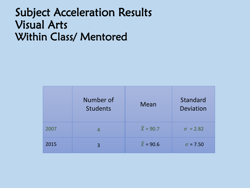## Subject Acceleration Results Visual Arts Within Class/ Mentored

|      | Number of<br><b>Students</b> | <b>Mean</b>      | Standard<br><b>Deviation</b> |
|------|------------------------------|------------------|------------------------------|
| 2007 | 4                            | $\bar{X} = 90.7$ | $\sigma = 2.82$              |
| 2015 | 3                            | $\bar{X} = 90.6$ | $\sigma$ = 7.50              |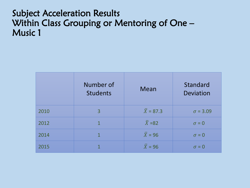### Subject Acceleration Results Within Class Grouping or Mentoring of One – Music 1

|      | Number of<br><b>Students</b> | <b>Mean</b>         | Standard<br><b>Deviation</b> |
|------|------------------------------|---------------------|------------------------------|
| 2010 | 3                            | $\bar{X} = 87.3$    | $\sigma = 3.09$              |
| 2012 | $\mathbf{1}$                 | $\overline{X}$ =82  | $\sigma = 0$                 |
| 2014 | $\mathbf 1$                  | $\overline{X}$ = 96 | $\sigma = 0$                 |
| 2015 | 1                            | $\overline{X}$ = 96 | $\sigma = 0$                 |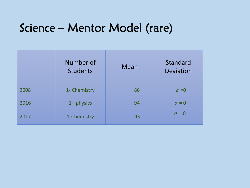## Science – Mentor Model (rare)

|      | Number of<br><b>Students</b> | <b>Mean</b> | Standard<br>Deviation |
|------|------------------------------|-------------|-----------------------|
| 2008 | 1- Chemistry                 | 86          | $\sigma = 0$          |
| 2016 | 1- physics                   | 94          | $\sigma = 0$          |
| 2017 | 1-Chemistry                  | 93          | $\sigma = 0$          |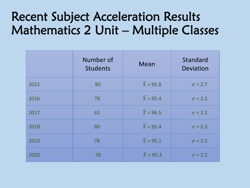# Recent Subject Acceleration Results Mathematics 2 Unit – Multiple Classes

|      | Number of<br><b>Students</b> | <b>Mean</b>           | Standard<br>Deviation |
|------|------------------------------|-----------------------|-----------------------|
| 2015 | 80                           | $\overline{X}$ = 95.8 | $\sigma = 2.7$        |
| 2016 | 78                           | $\overline{X}$ = 95.4 | $\sigma = 2.2$        |
| 2017 | 61                           | $\bar{X}$ = 96.5      | $\sigma$ = 2.2        |
| 2018 | 80                           | $\overline{X}$ = 95.4 | $\sigma$ = 2.3        |
| 2019 | 78                           | $\bar{X}$ = 95.1      | $\sigma$ = 2.5        |
| 2020 | 78                           | $\bar{X}$ = 95.3      | $\sigma$ = 2.2        |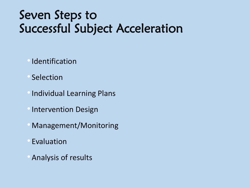# Seven Steps to Successful Subject Acceleration

- **Identification**
- **Selection**
- •Individual Learning Plans
- •Intervention Design
- Management/Monitoring
- **Evaluation**
- Analysis of results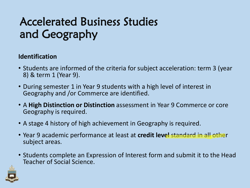#### **Identification**

- Students are informed of the criteria for subject acceleration: term 3 (year 8) & term 1 (Year 9).
- During semester 1 in Year 9 students with a high level of interest in Geography and /or Commerce are identified.
- A **High Distinction or Distinction** assessment in Year 9 Commerce or core Geography is required.
- A stage 4 history of high achievement in Geography is required.
- Year 9 academic performance at least at **credit level** standard in all other subject areas.
- Students complete an Expression of Interest form and submit it to the Head Teacher of Social Science.

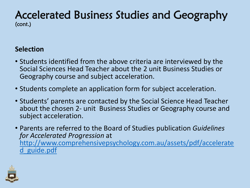#### **Selection**

- Students identified from the above criteria are interviewed by the Social Sciences Head Teacher about the 2 unit Business Studies or Geography course and subject acceleration.
- Students complete an application form for subject acceleration.
- Students' parents are contacted by the Social Science Head Teacher about the chosen 2- unit Business Studies or Geography course and subject acceleration.
- Parents are referred to the Board of Studies publication *Guidelines for Accelerated Progression* at [http://www.comprehensivepsychology.com.au/assets/pdf/accelerate](http://www.comprehensivepsychology.com.au/assets/pdf/accelerated_guide.pdf) d\_guide.pdf

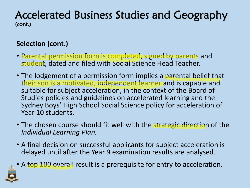### **Selection (cont.)**

- Parental permission form is completed, signed by parents and student, dated and filed with Social Science Head Teacher.
- The lodgement of a permission form implies a parental belief that their son is a motivated, independent learner and is capable and suitable for subject acceleration, in the context of the Board of Studies policies and guidelines on accelerated learning and the Sydney Boys' High School Social Science policy for acceleration of Year 10 students.
- The chosen course should fit well with the strategic direction of the *Individual Learning Plan.*
- A final decision on successful applicants for subject acceleration is delayed until after the Year 9 examination results are analysed.
- A top 100 overall result is a prerequisite for entry to acceleration.

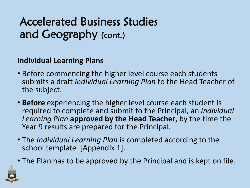### **Individual Learning Plans**

- Before commencing the higher level course each students submits a draft *Individual Learning Plan* to the Head Teacher of the subject.
- **Before** experiencing the higher level course each student is required to complete and submit to the Principal, an *Individual Learning Plan* **approved by the Head Teacher**, by the time the Year 9 results are prepared for the Principal.
- The *Individual Learning Plan* is completed according to the school template [Appendix 1].
- The Plan has to be approved by the Principal and is kept on file.

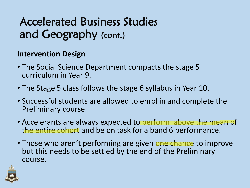#### **Intervention Design**

- The Social Science Department compacts the stage 5 curriculum in Year 9.
- The Stage 5 class follows the stage 6 syllabus in Year 10.
- Successful students are allowed to enrol in and complete the Preliminary course.
- Accelerants are always expected to perform above the mean of the entire cohort and be on task for a band 6 performance.
- Those who aren't performing are given one chance to improve but this needs to be settled by the end of the Preliminary course.

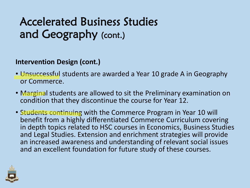#### **Intervention Design (cont.)**

- Unsuccessful students are awarded a Year 10 grade A in Geography or Commerce.
- Marginal students are allowed to sit the Preliminary examination on condition that they discontinue the course for Year 12.
- Students continuing with the Commerce Program in Year 10 will benefit from a highly differentiated Commerce Curriculum covering in depth topics related to HSC courses in Economics, Business Studies and Legal Studies. Extension and enrichment strategies will provide an increased awareness and understanding of relevant social issues and an excellent foundation for future study of these courses.

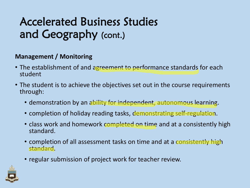#### **Management / Monitoring**

- The establishment of and agreement to performance standards for each student
- The student is to achieve the objectives set out in the course requirements through:
	- demonstration by an ability for independent, autonomous learning.
	- completion of holiday reading tasks, demonstrating self-regulation.
	- class work and homework completed on time and at a consistently high standard.
	- completion of all assessment tasks on time and at a consistently high standard.
	- regular submission of project work for teacher review.

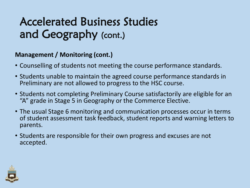#### **Management / Monitoring (cont.)**

- Counselling of students not meeting the course performance standards.
- Students unable to maintain the agreed course performance standards in Preliminary are not allowed to progress to the HSC course.
- Students not completing Preliminary Course satisfactorily are eligible for an "A" grade in Stage 5 in Geography or the Commerce Elective.
- The usual Stage 6 monitoring and communication processes occur in terms of student assessment task feedback, student reports and warning letters to parents.
- Students are responsible for their own progress and excuses are not accepted.

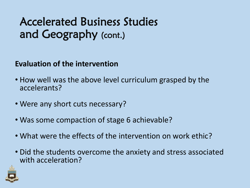#### **Evaluation of the intervention**

- How well was the above level curriculum grasped by the accelerants?
- Were any short cuts necessary?
- Was some compaction of stage 6 achievable?
- What were the effects of the intervention on work ethic?
- Did the students overcome the anxiety and stress associated with acceleration?

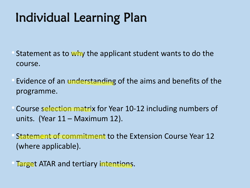# Individual Learning Plan

- Statement as to why the applicant student wants to do the course.
- Evidence of an understanding of the aims and benefits of the programme.
- Course selection matrix for Year 10-12 including numbers of units. (Year 11 – Maximum 12).
- Statement of commitment to the Extension Course Year 12 (where applicable).
- Target ATAR and tertiary intentions.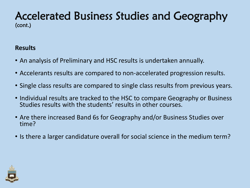#### **Results**

- An analysis of Preliminary and HSC results is undertaken annually.
- Accelerants results are compared to non-accelerated progression results.
- Single class results are compared to single class results from previous years.
- Individual results are tracked to the HSC to compare Geography or Business Studies results with the students' results in other courses.
- Are there increased Band 6s for Geography and/or Business Studies over time?
- Is there a larger candidature overall for social science in the medium term?

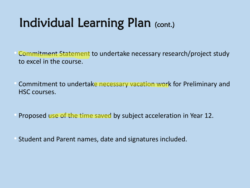# Individual Learning Plan (cont.)

- Commitment Statement to undertake necessary research/project study to excel in the course.
- Commitment to undertake necessary vacation work for Preliminary and HSC courses.
- Proposed use of the time saved by subject acceleration in Year 12.
- Student and Parent names, date and signatures included.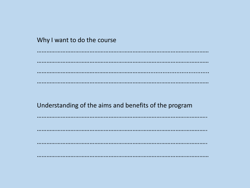$\sim$   $\sim$ 

Understanding of the aims and benefits of the program

. . . . . . . . . . . . . . . . \*\*\*\*\*\*\*\*\*\*\*\*\*\*\*\*\*\*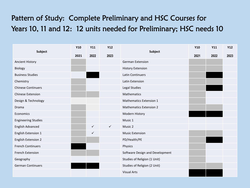### Pattern of Study: Complete Preliminary and HSC Courses for Years 10, 11 and 12: 12 units needed for Preliminary; HSC needs 10

|                            | <b>Y10</b>           | Y11          | Y12          | Subject                         | <b>Y10</b> | <b>Y11</b> | Y12 |
|----------------------------|----------------------|--------------|--------------|---------------------------------|------------|------------|-----|
| Subject                    | 2023<br>2022<br>2021 | 2021         | 2022         | 2023                            |            |            |     |
| <b>Ancient History</b>     |                      |              |              | <b>German Extension</b>         |            |            |     |
| Biology                    |                      |              |              | <b>History Extension</b>        |            |            |     |
| <b>Business Studies</b>    |                      |              |              | Latin Continuers                |            |            |     |
| Chemistry                  |                      |              |              | Latin Extension                 |            |            |     |
| <b>Chinese Continuers</b>  |                      |              |              | Legal Studies                   |            |            |     |
| <b>Chinese Extension</b>   |                      |              |              | <b>Mathematics</b>              |            |            |     |
| Design & Technology        |                      |              |              | <b>Mathematics Extension 1</b>  |            |            |     |
| Drama                      |                      |              |              | <b>Mathematics Extension 2</b>  |            |            |     |
| Economics                  |                      |              |              | Modern History                  |            |            |     |
| <b>Engineering Studies</b> |                      |              |              | Music 1                         |            |            |     |
| English Advanced           |                      | $\checkmark$ | $\checkmark$ | Music 2                         |            |            |     |
| English Extension 1        |                      | $\checkmark$ |              | <b>Music Extension</b>          |            |            |     |
| <b>English Extension 2</b> |                      |              |              | PD/Health/PE                    |            |            |     |
| <b>French Continuers</b>   |                      |              |              | Physics                         |            |            |     |
| French Extension           |                      |              |              | Software Design and Development |            |            |     |
| Geography                  |                      |              |              | Studies of Religion (1 Unit)    |            |            |     |
| <b>German Continuers</b>   |                      |              |              | Studies of Religion (2 Unit)    |            |            |     |
|                            |                      |              |              | <b>Visual Arts</b>              |            |            |     |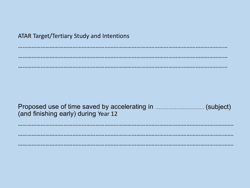## **ATAR Target/Tertiary Study and Intentions**

(and finishing early) during Year 12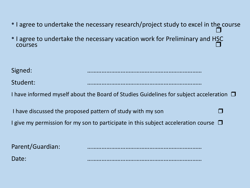• I agree to undertake the necessary research/project study to excel in th<u>e</u> course I agree to undertake the necessary vacation work for Preliminary and HSC<br>  $\square$  $\overline{1}$  courses  $\overline{1}$ Signed: ……………………………………………………………… Student: ……………………………………………………………… I have informed myself about the Board of Studies Guidelines for subject acceleration  $\Box$ I have discussed the proposed pattern of study with my son I give my permission for my son to participate in this subject acceleration course  $\Box$ Parent/Guardian: Date: ………………………………………………………………